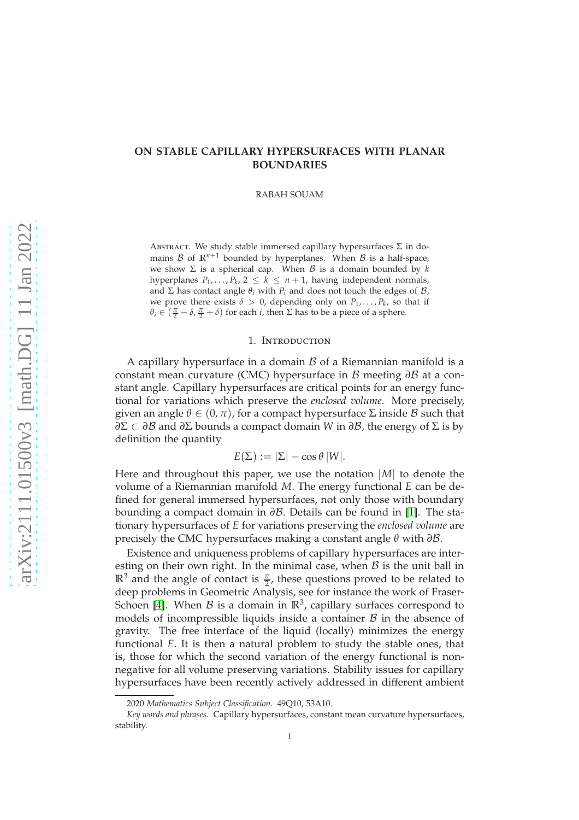# **ON STABLE CAPILLARY HYPERSURFACES WITH PLANAR BOUNDARIES**

RABAH SOUAM

ABSTRACT. We study stable immersed capillary hypersurfaces  $\Sigma$  in domains  $\mathcal B$  of  $\mathbb R^{n+1}$  bounded by hyperplanes. When  $\mathcal B$  is a half-space, we show  $\Sigma$  is a spherical cap. When  $\beta$  is a domain bounded by  $k$ hyperplanes  $P_1, \ldots, P_k$ ,  $2 \leq k \leq n+1$ , having independent normals, and  $\Sigma$  has contact angle  $\theta_i$  with  $P_i$  and does not touch the edges of  $\mathcal{B}$ , we prove there exists  $\delta > 0$ , depending only on  $P_1, \ldots, P_k$ , so that if  $\theta_i \in (\frac{\pi}{2} - \delta, \frac{\pi}{2} + \delta)$  for each *i*, then  $\Sigma$  has to be a piece of a sphere.

## 1. Introduction

A capillary hypersurface in a domain  $\beta$  of a Riemannian manifold is a constant mean curvature (CMC) hypersurface in B meeting *∂*B at a constant angle. Capillary hypersurfaces are critical points for an energy functional for variations which preserve the *enclosed volume*. More precisely, given an angle  $\theta \in (0, \pi)$ , for a compact hypersurface  $\Sigma$  inside  $\beta$  such that *∂*Σ ⊂ *∂*B and *∂*Σ bounds a compact domain *W* in *∂*B, the energy of Σ is by definition the quantity

$$
E(\Sigma) := |\Sigma| - \cos \theta |W|.
$$

Here and throughout this paper, we use the notation |*M*| to denote the volume of a Riemannian manifold *M*. The energy functional *E* can be defined for general immersed hypersurfaces, not only those with boundary bounding a compact domain in *∂*B. Details can be found in [\[1\]](#page-8-0). The stationary hypersurfaces of *E* for variations preserving the *enclosed volume* are precisely the CMC hypersurfaces making a constant angle *θ* with *∂*B.

Existence and uniqueness problems of capillary hypersurfaces are interesting on their own right. In the minimal case, when  $\beta$  is the unit ball in  $\mathbb{R}^3$  and the angle of contact is  $\frac{\pi}{2}$ , these questions proved to be related to deep problems in Geometric Analysis, see for instance the work of Fraser-Schoen [\[4\]](#page-8-1). When  $\beta$  is a domain in  $\mathbb{R}^3$ , capillary surfaces correspond to models of incompressible liquids inside a container  $B$  in the absence of gravity. The free interface of the liquid (locally) minimizes the energy functional *E*. It is then a natural problem to study the stable ones, that is, those for which the second variation of the energy functional is nonnegative for all volume preserving variations. Stability issues for capillary hypersurfaces have been recently actively addressed in different ambient

<sup>2020</sup> *Mathematics Subject Classification.* 49Q10, 53A10.

*Key words and phrases.* Capillary hypersurfaces, constant mean curvature hypersurfaces, stability.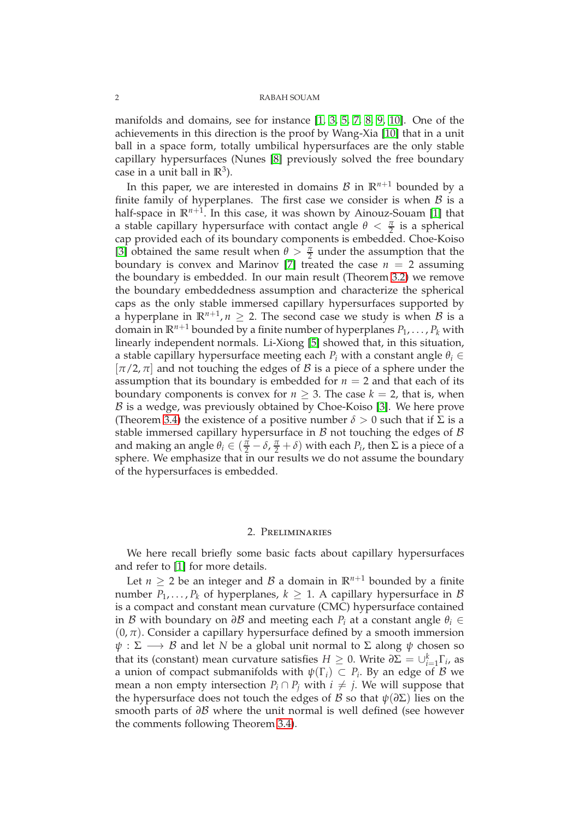#### 2 RABAH SOUAM

manifolds and domains, see for instance [\[1,](#page-8-0) [3,](#page-8-2) [5,](#page-8-3) [7,](#page-8-4) [8,](#page-8-5) [9,](#page-8-6) [10\]](#page-8-7). One of the achievements in this direction is the proof by Wang-Xia [\[10\]](#page-8-7) that in a unit ball in a space form, totally umbilical hypersurfaces are the only stable capillary hypersurfaces (Nunes [\[8\]](#page-8-5) previously solved the free boundary case in a unit ball in **R**<sup>3</sup> ).

In this paper, we are interested in domains  $\mathcal{B}$  in  $\mathbb{R}^{n+1}$  bounded by a finite family of hyperplanes. The first case we consider is when  $B$  is a half-space in **R***n*+<sup>1</sup> . In this case, it was shown by Ainouz-Souam [\[1\]](#page-8-0) that a stable capillary hypersurface with contact angle  $\theta < \frac{\pi}{2}$  is a spherical cap provided each of its boundary components is embedded. Choe-Koiso [\[3\]](#page-8-2) obtained the same result when  $\theta > \frac{\pi}{2}$  under the assumption that the boundary is convex and Marinov [\[7\]](#page-8-4) treated the case  $n = 2$  assuming the boundary is embedded. In our main result (Theorem [3.2\)](#page-3-0) we remove the boundary embeddedness assumption and characterize the spherical caps as the only stable immersed capillary hypersurfaces supported by a hyperplane in  $\mathbb{R}^{n+1}$ ,  $n \geq 2$ . The second case we study is when  $\beta$  is a domain in  $\mathbb{R}^{n+1}$  bounded by a finite number of hyperplanes  $P_1, \ldots, P_k$  with linearly independent normals. Li-Xiong [\[5\]](#page-8-3) showed that, in this situation, a stable capillary hypersurface meeting each  $P_i$  with a constant angle  $\theta_i \in$  $[\pi/2, \pi]$  and not touching the edges of B is a piece of a sphere under the assumption that its boundary is embedded for  $n = 2$  and that each of its boundary components is convex for  $n \geq 3$ . The case  $k = 2$ , that is, when  $B$  is a wedge, was previously obtained by Choe-Koiso [\[3\]](#page-8-2). We here prove (Theorem [3.4\)](#page-6-0) the existence of a positive number  $\delta > 0$  such that if  $\Sigma$  is a stable immersed capillary hypersurface in  $\beta$  not touching the edges of  $\beta$ and making an angle  $\theta_i \in (\frac{\pi}{2} - \delta, \frac{\pi}{2} + \delta)$  with each  $P_i$ , then  $\Sigma$  is a piece of a sphere. We emphasize that in our results we do not assume the boundary of the hypersurfaces is embedded.

## 2. Preliminaries

We here recall briefly some basic facts about capillary hypersurfaces and refer to [\[1\]](#page-8-0) for more details.

Let  $n \geq 2$  be an integer and  $\beta$  a domain in  $\mathbb{R}^{n+1}$  bounded by a finite number  $P_1, \ldots, P_k$  of hyperplanes,  $k \geq 1$ . A capillary hypersurface in  $\beta$ is a compact and constant mean curvature (CMC) hypersurface contained in B with boundary on  $\partial B$  and meeting each  $P_i$  at a constant angle  $\theta_i$  ∈  $(0, \pi)$ . Consider a capillary hypersurface defined by a smooth immersion  $\psi : \Sigma \longrightarrow \mathcal{B}$  and let *N* be a global unit normal to  $\Sigma$  along  $\psi$  chosen so that its (constant) mean curvature satisfies  $H \geq 0$ . Write  $\partial \Sigma = \cup_{i=1}^k \Gamma_i$ , as a union of compact submanifolds with  $\psi(\Gamma_i) \subset P_i$ . By an edge of  $\mathcal B$  we mean a non empty intersection  $P_i \cap P_j$  with  $i \neq j$ . We will suppose that the hypersurface does not touch the edges of B so that  $\psi(\partial \Sigma)$  lies on the smooth parts of *∂*B where the unit normal is well defined (see however the comments following Theorem [3.4\)](#page-6-0).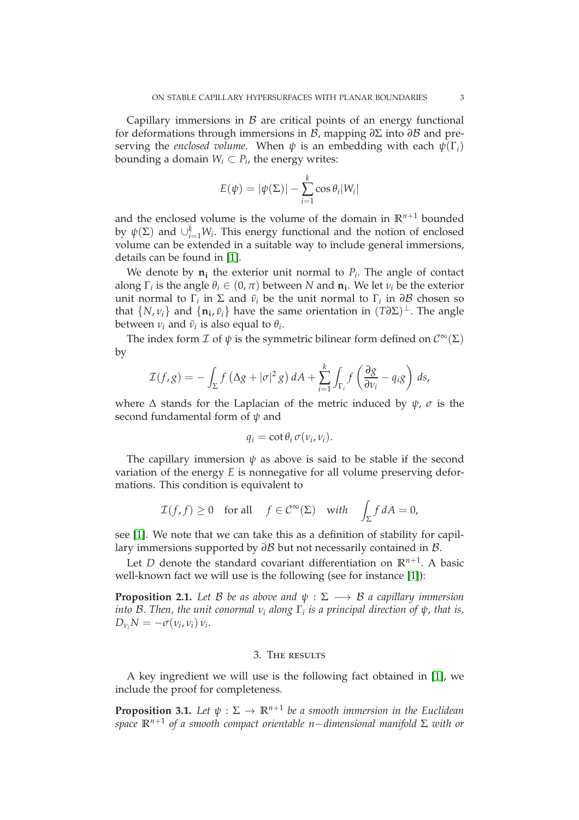Capillary immersions in  $\beta$  are critical points of an energy functional for deformations through immersions in B, mapping *∂*Σ into *∂*B and preserving the *enclosed volume*. When  $\psi$  is an embedding with each  $\psi(\Gamma_i)$ bounding a domain  $W_i \subset P_i$ , the energy writes:

$$
E(\psi) = |\psi(\Sigma)| - \sum_{i=1}^{k} \cos \theta_i |W_i|
$$

and the enclosed volume is the volume of the domain in  $\mathbb{R}^{n+1}$  bounded by  $\psi(\Sigma)$  and  $\cup_{i=1}^k W_i$ . This energy functional and the notion of enclosed volume can be extended in a suitable way to include general immersions, details can be found in [\[1\]](#page-8-0).

We denote by  $n_i$  the exterior unit normal to  $P_i$ . The angle of contact along  $\Gamma_i$  is the angle  $\theta_i \in (0, \pi)$  between  $N$  and  $\mathbf{n_i}$ . We let  $\nu_i$  be the exterior unit normal to  $\Gamma_i$  in  $\Sigma$  and  $\bar{\nu}_i$  be the unit normal to  $\Gamma_i$  in  $\partial \mathcal{B}$  chosen so that  $\{N, \nu_i\}$  and  $\{\mathbf{n_i}, \bar{\nu_i}\}$  have the same orientation in  $(T\partial \Sigma)^{\perp}$ . The angle between  $\nu_i$  and  $\bar{\nu}_i$  is also equal to  $\theta_i$ .

The index form  $\mathcal I$  of  $\psi$  is the symmetric bilinear form defined on  $\mathcal C^{\infty}(\Sigma)$ by

$$
\mathcal{I}(f,g) = -\int_{\Sigma} f\left(\Delta g + |\sigma|^2 g\right) dA + \sum_{i=1}^k \int_{\Gamma_i} f\left(\frac{\partial g}{\partial \nu_i} - q_i g\right) ds,
$$

where  $\Delta$  stands for the Laplacian of the metric induced by  $\psi$ ,  $\sigma$  is the second fundamental form of *ψ* and

$$
q_i = \cot \theta_i \, \sigma(v_i, v_i).
$$

The capillary immersion  $\psi$  as above is said to be stable if the second variation of the energy *E* is nonnegative for all volume preserving deformations. This condition is equivalent to

$$
\mathcal{I}(f,f) \ge 0
$$
 for all  $f \in C^{\infty}(\Sigma)$  with  $\int_{\Sigma} f dA = 0$ ,

see [\[1\]](#page-8-0). We note that we can take this as a definition of stability for capillary immersions supported by *∂*B but not necessarily contained in B.

Let *D* denote the standard covariant differentiation on **R***n*+<sup>1</sup> . A basic well-known fact we will use is the following (see for instance [\[1\]](#page-8-0)):

**Proposition 2.1.** Let B be as above and  $\psi$  :  $\Sigma \rightarrow$  B a capillary immersion *into* B. *Then, the unit conormal ν<sup>i</sup> along* Γ*<sup>i</sup> is a principal direction of ψ*, *that is,*  $D_{\nu_i}N = -\sigma(\nu_i, \nu_i) \nu_i.$ 

# 3. The results

A key ingredient we will use is the following fact obtained in [\[1\]](#page-8-0), we include the proof for completeness.

<span id="page-2-0"></span>**Proposition 3.1.** Let  $\psi$  :  $\Sigma \to \mathbb{R}^{n+1}$  be a smooth immersion in the Euclidean *space* **R***n*+<sup>1</sup> *of a smooth compact orientable n*−*dimensional manifold* Σ *with or*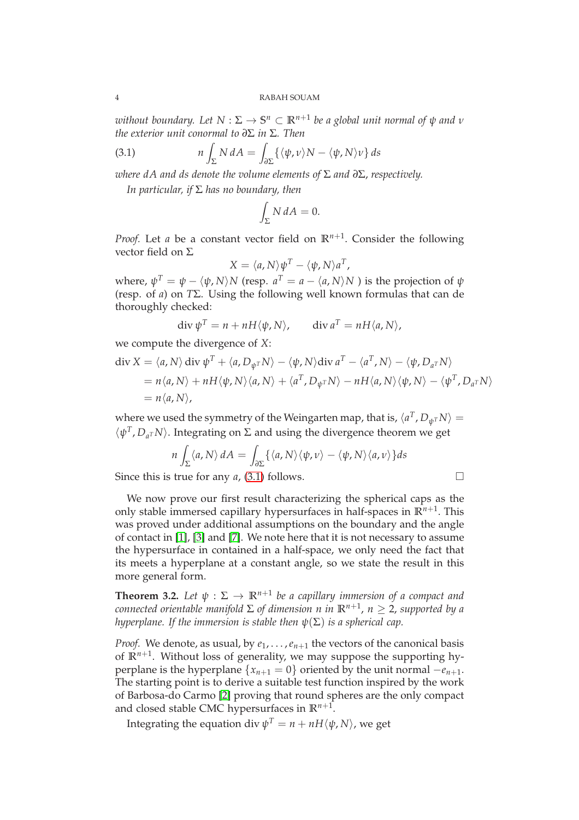$\alpha$  *without boundary. Let*  $N: \Sigma \to \mathbb{S}^n \subset \mathbb{R}^{n+1}$  *be a global unit normal of*  $\psi$  *and v the exterior unit conormal to ∂*Σ *in* Σ*. Then*

(3.1) 
$$
n \int_{\Sigma} N dA = \int_{\partial \Sigma} {\{\langle \psi, \nu \rangle N - \langle \psi, N \rangle \nu\}} ds
$$

*where dA and ds denote the volume elements of* Σ *and ∂*Σ, *respectively.*

*In particular, if* Σ *has no boundary, then*

<span id="page-3-1"></span>
$$
\int_{\Sigma} N dA = 0.
$$

*Proof.* Let *a* be a constant vector field on  $\mathbb{R}^{n+1}$ . Consider the following vector field on Σ

$$
X = \langle a, N \rangle \psi^T - \langle \psi, N \rangle a^T,
$$

where,  $\psi^T = \psi - \langle \psi, N \rangle N$  (resp.  $a^T = a - \langle a, N \rangle N$  ) is the projection of  $\psi$ (resp. of *a*) on *T*Σ. Using the following well known formulas that can de thoroughly checked:

$$
\operatorname{div} \psi^T = n + nH \langle \psi, N \rangle, \qquad \operatorname{div} a^T = nH \langle a, N \rangle,
$$

we compute the divergence of *X*:

$$
\begin{aligned} \operatorname{div} X &= \langle a, N \rangle \operatorname{div} \psi^T + \langle a, D_{\psi^T} N \rangle - \langle \psi, N \rangle \operatorname{div} a^T - \langle a^T, N \rangle - \langle \psi, D_{a^T} N \rangle \\ &= n \langle a, N \rangle + n H \langle \psi, N \rangle \langle a, N \rangle + \langle a^T, D_{\psi^T} N \rangle - n H \langle a, N \rangle \langle \psi, N \rangle - \langle \psi^T, D_{a^T} N \rangle \\ &= n \langle a, N \rangle, \end{aligned}
$$

where we used the symmetry of the Weingarten map, that is,  $\langle a^T, D_{\psi^T} N \rangle = 0$  $\langle \psi^T, D_{aT}N \rangle$ . Integrating on  $\Sigma$  and using the divergence theorem we get

$$
n \int_{\Sigma} \langle a, N \rangle dA = \int_{\partial \Sigma} \{ \langle a, N \rangle \langle \psi, \nu \rangle - \langle \psi, N \rangle \langle a, \nu \rangle \} ds
$$

Since this is true for any  $a$ , [\(3.1\)](#page-3-1) follows.

We now prove our first result characterizing the spherical caps as the only stable immersed capillary hypersurfaces in half-spaces in **R***n*+<sup>1</sup> . This was proved under additional assumptions on the boundary and the angle of contact in [\[1\]](#page-8-0), [\[3\]](#page-8-2) and [\[7\]](#page-8-4). We note here that it is not necessary to assume the hypersurface in contained in a half-space, we only need the fact that its meets a hyperplane at a constant angle, so we state the result in this more general form.

<span id="page-3-0"></span>**Theorem 3.2.** Let  $\psi$  :  $\Sigma \to \mathbb{R}^{n+1}$  be a capillary immersion of a compact and *connected orientable manifold* Σ *of dimension n in* **R***n*+<sup>1</sup> , *n* ≥ 2, *supported by a hyperplane. If the immersion is stable then*  $\psi(\Sigma)$  *is a spherical cap.* 

*Proof.* We denote, as usual, by  $e_1, \ldots, e_{n+1}$  the vectors of the canonical basis of  $\mathbb{R}^{n+1}$ . Without loss of generality, we may suppose the supporting hyperplane is the hyperplane { $x_{n+1} = 0$ } oriented by the unit normal  $-e_{n+1}$ . The starting point is to derive a suitable test function inspired by the work of Barbosa-do Carmo [2] proving that round spheres are the only compact and closed stable CMC hypersurfaces in **R***n*+<sup>1</sup> .

Integrating the equation div  $ψ^T = n + nH\langle ψ, N \rangle$ , we get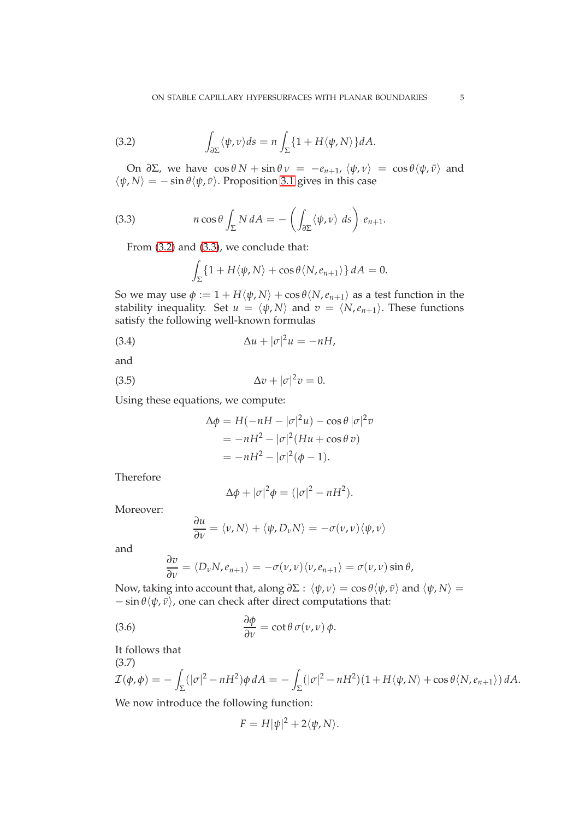<span id="page-4-0"></span>(3.2) 
$$
\int_{\partial \Sigma} \langle \psi, \nu \rangle ds = n \int_{\Sigma} \{1 + H \langle \psi, N \rangle \} dA.
$$

On *∂*Σ, we have  $cos θN + sin θν = −e<sub>n+1</sub>, (ψ, ν) = cos θ(ψ, ν)$  and  $\langle \psi, N \rangle = -\sin \theta \langle \psi, \bar{v} \rangle$ . Proposition [3.1](#page-2-0) gives in this case

(3.3) 
$$
n \cos \theta \int_{\Sigma} N dA = - \left( \int_{\partial \Sigma} \langle \psi, \nu \rangle ds \right) e_{n+1}.
$$

From [\(3.2\)](#page-4-0) and [\(3.3\)](#page-4-1), we conclude that:

<span id="page-4-1"></span>
$$
\int_{\Sigma} \{1 + H \langle \psi, N \rangle + \cos \theta \langle N, e_{n+1} \rangle \} dA = 0.
$$

So we may use  $\phi := 1 + H\langle \psi, N \rangle + \cos \theta \langle N, e_{n+1} \rangle$  as a test function in the stability inequality. Set  $u = \langle \psi, N \rangle$  and  $v = \langle N, e_{n+1} \rangle$ . These functions satisfy the following well-known formulas

$$
\Delta u + |\sigma|^2 u = -nH,
$$

and

$$
\Delta v + |\sigma|^2 v = 0.
$$

Using these equations, we compute:

$$
\Delta \phi = H(-nH - |\sigma|^2 u) - \cos \theta |\sigma|^2 v
$$
  
= -nH<sup>2</sup> - |\sigma|^2 (Hu + \cos \theta v)  
= -nH<sup>2</sup> - |\sigma|^2 (\phi - 1).

Therefore

$$
\Delta \phi + |\sigma|^2 \phi = (|\sigma|^2 - nH^2).
$$

Moreover:

$$
\frac{\partial u}{\partial v} = \langle v, N \rangle + \langle \psi, D_v N \rangle = -\sigma(v, v) \langle \psi, v \rangle
$$

and

$$
\frac{\partial v}{\partial v} = \langle D_{v} N, e_{n+1} \rangle = -\sigma(v, v) \langle v, e_{n+1} \rangle = \sigma(v, v) \sin \theta,
$$

Now, taking into account that, along  $\partial \Sigma$  :  $\langle \psi, \nu \rangle = \cos \theta \langle \psi, \bar{\nu} \rangle$  and  $\langle \psi, N \rangle =$  $-\sin\theta\langle\psi,\bar{v}\rangle$ , one can check after direct computations that:

(3.6) 
$$
\frac{\partial \phi}{\partial \nu} = \cot \theta \, \sigma(\nu, \nu) \, \phi.
$$

It follows that  $(2.7)$ 

<span id="page-4-2"></span>
$$
\mathcal{I}(\phi,\phi) = -\int_{\Sigma} (|\sigma|^2 - nH^2) \phi \, dA = -\int_{\Sigma} (|\sigma|^2 - nH^2) (1 + H \langle \psi, N \rangle + \cos \theta \langle N, e_{n+1} \rangle) \, dA.
$$

We now introduce the following function:

$$
F = H|\psi|^2 + 2\langle \psi, N \rangle.
$$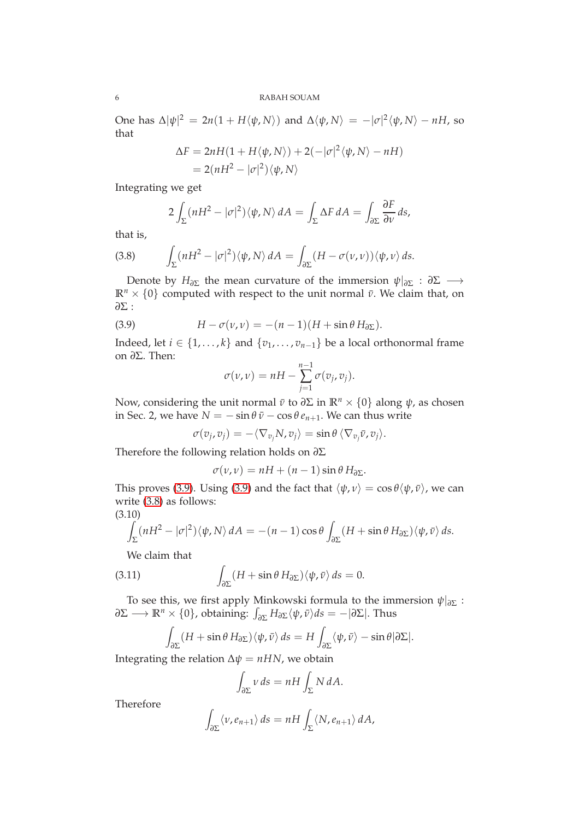One has  $\Delta |\psi|^2 = 2n(1 + H\langle \psi, N \rangle)$  and  $\Delta \langle \psi, N \rangle = -|\sigma|^2 \langle \psi, N \rangle - nH$ , so that

$$
\Delta F = 2nH(1 + H\langle \psi, N \rangle) + 2(-|\sigma|^2 \langle \psi, N \rangle - nH)
$$
  
= 2(nH<sup>2</sup> - |\sigma|<sup>2</sup>)\langle \psi, N \rangle

Integrating we get

<span id="page-5-1"></span>
$$
2\int_{\Sigma} (nH^2 - |\sigma|^2) \langle \psi, N \rangle \, dA = \int_{\Sigma} \Delta F \, dA = \int_{\partial \Sigma} \frac{\partial F}{\partial \nu} \, ds,
$$

that is,

(3.8) 
$$
\int_{\Sigma} (nH^2 - |\sigma|^2) \langle \psi, N \rangle dA = \int_{\partial \Sigma} (H - \sigma(\nu, \nu)) \langle \psi, \nu \rangle ds.
$$

Denote by  $H_{\partial \Sigma}$  the mean curvature of the immersion  $\psi|_{\partial \Sigma} : \partial \Sigma \longrightarrow$  $\mathbb{R}^n \times \{0\}$  computed with respect to the unit normal *v*. We claim that, on *∂*Σ :

(3.9) 
$$
H - \sigma(\nu, \nu) = -(n-1)(H + \sin \theta H_{\partial \Sigma}).
$$

Indeed, let *i* ∈ {1, . . . , *k*} and {*v*<sub>1</sub>, . . . , *v*<sub>*n*-1</sub>} be a local orthonormal frame on *∂*Σ. Then:

<span id="page-5-0"></span>
$$
\sigma(v,v) = nH - \sum_{j=1}^{n-1} \sigma(v_j,v_j).
$$

Now, considering the unit normal  $\bar{v}$  to  $\partial \Sigma$  in  $\mathbb{R}^n \times \{0\}$  along  $\psi$ , as chosen in Sec. 2, we have  $N = -\sin \theta \bar{v} - \cos \theta e_{n+1}$ . We can thus write

 $\sigma(v_j, v_j) = -\langle \nabla_{v_j} N, v_j \rangle = \sin \theta \, \langle \nabla_{v_j} \bar{v}, v_j \rangle.$ 

Therefore the following relation holds on *∂*Σ

$$
\sigma(\nu,\nu)=nH+(n-1)\sin\theta H_{\partial\Sigma}.
$$

This proves [\(3.9\)](#page-5-0). Using (3.9) and the fact that  $\langle \psi, \nu \rangle = \cos \theta \langle \psi, \bar{\nu} \rangle$ , we can write [\(3.8\)](#page-5-1) as follows:

$$
(3.10)
$$

<span id="page-5-3"></span>
$$
\int_{\Sigma} (nH^2 - |\sigma|^2) \langle \psi, N \rangle dA = -(n-1) \cos \theta \int_{\partial \Sigma} (H + \sin \theta H_{\partial \Sigma}) \langle \psi, \bar{\nu} \rangle ds.
$$

We claim that

(3.11) 
$$
\int_{\partial \Sigma} (H + \sin \theta \, H_{\partial \Sigma}) \langle \psi, \bar{\nu} \rangle \, ds = 0.
$$

To see this, we first apply Minkowski formula to the immersion *ψ*|*∂*<sup>Σ</sup> :  $\partial \Sigma \longrightarrow \mathbb{R}^n \times \{0\}$ , obtaining:  $\int_{\partial \Sigma} H_{\partial \Sigma} \langle \psi, \bar{v} \rangle ds = -|\partial \Sigma|$ . Thus

<span id="page-5-2"></span>
$$
\int_{\partial \Sigma} (H + \sin \theta \, H_{\partial \Sigma}) \langle \psi, \bar{\nu} \rangle \, ds = H \int_{\partial \Sigma} \langle \psi, \bar{\nu} \rangle - \sin \theta |\partial \Sigma|.
$$

Integrating the relation  $\Delta \psi = nHN$ , we obtain

$$
\int_{\partial \Sigma} v \, ds = nH \int_{\Sigma} N \, dA.
$$

Therefore

$$
\int_{\partial \Sigma} \langle v, e_{n+1} \rangle \, ds = n \, H \int_{\Sigma} \langle N, e_{n+1} \rangle \, dA,
$$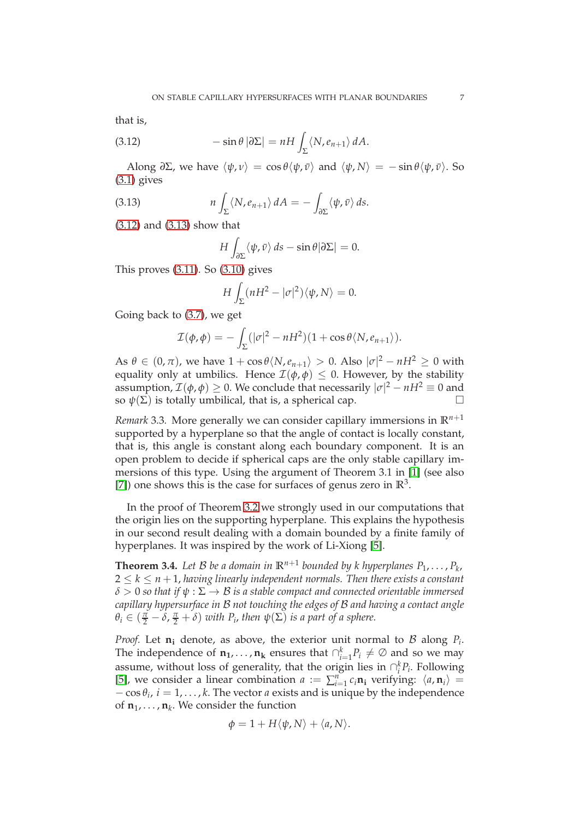that is,

<span id="page-6-1"></span>(3.12) 
$$
-\sin\theta \, |\partial\Sigma| = nH \int_{\Sigma} \langle N, e_{n+1} \rangle \, dA.
$$

Along  $\partial \Sigma$ , we have  $\langle \psi, \nu \rangle = \cos \theta \langle \psi, \bar{\nu} \rangle$  and  $\langle \psi, N \rangle = -\sin \theta \langle \psi, \bar{\nu} \rangle$ . So [\(3.1\)](#page-3-1) gives

(3.13) 
$$
n \int_{\Sigma} \langle N, e_{n+1} \rangle dA = - \int_{\partial \Sigma} \langle \psi, \bar{v} \rangle ds.
$$

[\(3.12\)](#page-6-1) and [\(3.13\)](#page-6-2) show that

<span id="page-6-2"></span>
$$
H\int_{\partial\Sigma}\langle\psi,\bar{v}\rangle ds - \sin\theta|\partial\Sigma| = 0.
$$

This proves  $(3.11)$ . So  $(3.10)$  gives

$$
H\int_{\Sigma} (nH^2 - |\sigma|^2) \langle \psi, N \rangle = 0.
$$

Going back to [\(3.7\)](#page-4-2), we get

$$
\mathcal{I}(\phi,\phi)=-\int_{\Sigma}(|\sigma|^2-nH^2)(1+\cos\theta\langle N,e_{n+1}\rangle).
$$

As  $\theta \in (0, \pi)$ , we have  $1 + \cos \theta \langle N, e_{n+1} \rangle > 0$ . Also  $|\sigma|^2 - nH^2 \ge 0$  with equality only at umbilics. Hence  $\mathcal{I}(\phi,\phi) \leq 0$ . However, by the stability assumption,  $\mathcal{I}(\phi,\phi)\geq 0.$  We conclude that necessarily  $|\sigma|^2-nH^2\equiv 0$  and so  $\psi(\Sigma)$  is totally umbilical, that is, a spherical cap.

*Remark* 3.3*.* More generally we can consider capillary immersions in **R***n*+<sup>1</sup> supported by a hyperplane so that the angle of contact is locally constant, that is, this angle is constant along each boundary component. It is an open problem to decide if spherical caps are the only stable capillary immersions of this type. Using the argument of Theorem 3.1 in [\[1\]](#page-8-0) (see also [\[7\]](#page-8-4)) one shows this is the case for surfaces of genus zero in **R**<sup>3</sup> .

In the proof of Theorem [3.2](#page-3-0) we strongly used in our computations that the origin lies on the supporting hyperplane. This explains the hypothesis in our second result dealing with a domain bounded by a finite family of hyperplanes. It was inspired by the work of Li-Xiong [\[5\]](#page-8-3).

<span id="page-6-0"></span>**Theorem 3.4.** Let  $\mathcal{B}$  be a domain in  $\mathbb{R}^{n+1}$  bounded by k hyperplanes  $P_1, \ldots, P_k$ ,  $2 \leq k \leq n+1$ , *having linearly independent normals. Then there exists a constant*  $\delta > 0$  so that if  $\psi : \Sigma \to \mathcal{B}$  is a stable compact and connected orientable immersed *capillary hypersurface in* B *not touching the edges of* B *and having a contact angle*  $\theta_i \in (\frac{\pi}{2} - \delta, \frac{\pi}{2} + \delta)$  *with*  $P_i$ , then  $\psi(\Sigma)$  *is a part of a sphere.* 

*Proof.* Let **n<sup>i</sup>** denote, as above, the exterior unit normal to B along *P<sup>i</sup>* . The independence of  $\mathbf{n}_1, \ldots, \mathbf{n}_k$  ensures that  $\bigcap_{i=1}^k P_i \neq \emptyset$  and so we may assume, without loss of generality, that the origin lies in  $\bigcap_{i}^{k}P_{i}$ . Following [\[5\]](#page-8-3), we consider a linear combination  $a := \sum_{i=1}^{n} c_i \mathbf{n_i}$  verifying:  $\langle a, \mathbf{n_i} \rangle =$ − cos *θ<sup>i</sup>* , *i* = 1, . . . , *k*. The vector *a* exists and is unique by the independence of  $\mathbf{n}_1, \ldots, \mathbf{n}_k$ . We consider the function

$$
\phi = 1 + H \langle \psi, N \rangle + \langle a, N \rangle.
$$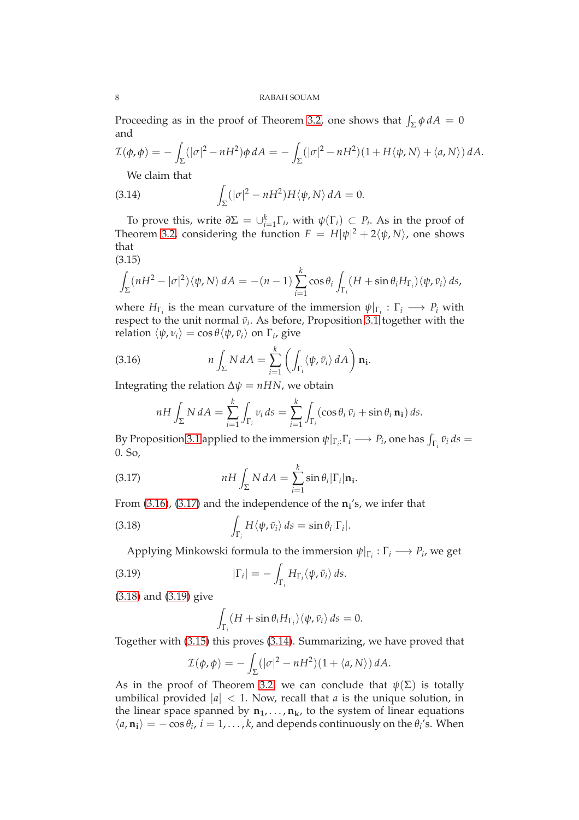Proceeding as in the proof of Theorem [3.2,](#page-3-0) one shows that  $\int_{\Sigma} \phi \, dA = 0$ and

$$
\mathcal{I}(\phi,\phi) = -\int_{\Sigma} (|\sigma|^2 - nH^2)\phi \, dA = -\int_{\Sigma} (|\sigma|^2 - nH^2)(1 + H\langle\psi, N\rangle + \langle a, N\rangle) \, dA.
$$

<span id="page-7-5"></span>We claim that

(3.14) 
$$
\int_{\Sigma} (|\sigma|^2 - nH^2) H \langle \psi, N \rangle dA = 0.
$$

To prove this, write  $\partial \Sigma = \bigcup_{i=1}^k \Gamma_i$ , with  $\psi(\Gamma_i) \subset P_i$ . As in the proof of Theorem [3.2,](#page-3-0) considering the function  $F = H|\psi|^2 + 2\langle \psi, N \rangle$ , one shows that

(3.15)

<span id="page-7-4"></span>
$$
\int_{\Sigma} (nH^2 - |\sigma|^2) \langle \psi, N \rangle dA = -(n-1) \sum_{i=1}^k \cos \theta_i \int_{\Gamma_i} (H + \sin \theta_i H_{\Gamma_i}) \langle \psi, \bar{\nu}_i \rangle ds,
$$

where  $H_{\Gamma_i}$  is the mean curvature of the immersion  $\psi|_{\Gamma_i} : \Gamma_i \longrightarrow P_i$  with respect to the unit normal  $\bar{v}_i$ . As before, Proposition [3.1](#page-2-0) together with the  $\text{relation } \langle \psi, \nu_i \rangle = \cos \theta \langle \psi, \bar{\nu}_i \rangle \text{ on } \Gamma_i$ , give

(3.16) 
$$
n \int_{\Sigma} N dA = \sum_{i=1}^{k} \left( \int_{\Gamma_i} \langle \psi, \bar{v}_i \rangle dA \right) \mathbf{n_i}.
$$

Integrating the relation  $\Delta \psi = nHN$ , we obtain

<span id="page-7-1"></span><span id="page-7-0"></span>
$$
nH\int_{\Sigma} N dA = \sum_{i=1}^{k} \int_{\Gamma_i} \nu_i ds = \sum_{i=1}^{k} \int_{\Gamma_i} (\cos \theta_i \,\bar{\nu}_i + \sin \theta_i \,\mathbf{n_i}) \, ds.
$$

By Proposition [3.1](#page-2-0) applied to the immersion  $\psi|_{\Gamma_i:\Gamma_i}\longrightarrow P_i$ , one has  $\int_{\Gamma_i}\bar{v}_i ds =$ 0. So,

(3.17) 
$$
nH \int_{\Sigma} N dA = \sum_{i=1}^{k} \sin \theta_{i} |\Gamma_{i}| \mathbf{n_{i}}.
$$

From [\(3.16\)](#page-7-0), [\(3.17\)](#page-7-1) and the independence of the **n<sup>i</sup>** 's, we infer that

(3.18) 
$$
\int_{\Gamma_i} H \langle \psi, \bar{\nu}_i \rangle ds = \sin \theta_i |\Gamma_i|.
$$

Applying Minkowski formula to the immersion  $\psi|_{\Gamma_i} : \Gamma_i \longrightarrow P_i$ , we get

(3.19) 
$$
|\Gamma_i| = -\int_{\Gamma_i} H_{\Gamma_i} \langle \psi, \bar{v}_i \rangle ds.
$$

[\(3.18\)](#page-7-2) and [\(3.19\)](#page-7-3) give

<span id="page-7-3"></span><span id="page-7-2"></span>
$$
\int_{\Gamma_i} (H + \sin \theta_i H_{\Gamma_i}) \langle \psi, \bar{\nu}_i \rangle ds = 0.
$$

Together with [\(3.15\)](#page-7-4) this proves [\(3.14\)](#page-7-5). Summarizing, we have proved that

$$
\mathcal{I}(\phi,\phi) = -\int_{\Sigma} (|\sigma|^2 - nH^2)(1 + \langle a,N \rangle) dA.
$$

As in the proof of Theorem [3.2,](#page-3-0) we can conclude that  $\psi(\Sigma)$  is totally umbilical provided  $|a| < 1$ . Now, recall that *a* is the unique solution, in the linear space spanned by  $n_1, \ldots, n_k$ , to the system of linear equations  $\langle a, \mathbf{n_i} \rangle = -\cos \theta_i$ ,  $i = 1, ..., k$ , and depends continuously on the  $\theta_i$ 's. When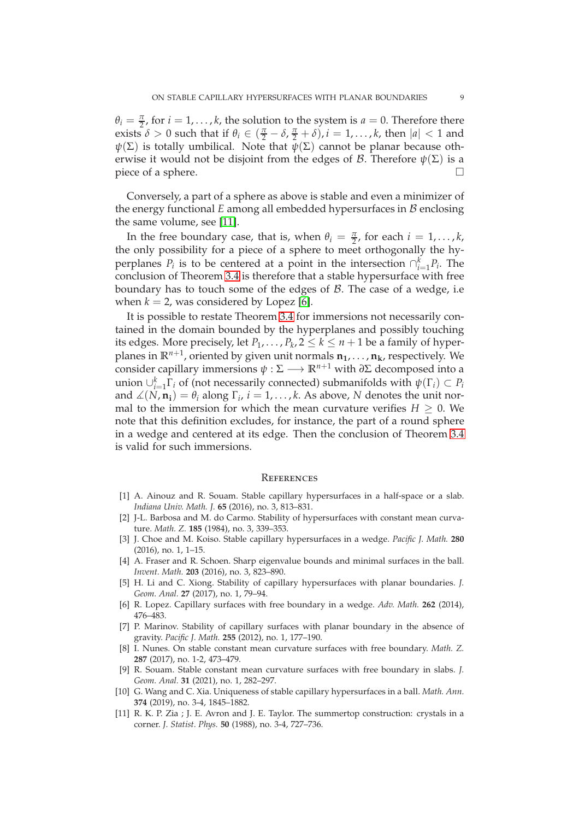$\theta$ <sup>*i*</sup> =  $\frac{\pi}{2}$ , for *i* = 1, ..., *k*, the solution to the system is *a* = 0. Therefore there exists  $\delta > 0$  such that if  $\theta_i \in (\frac{\pi}{2} - \delta, \frac{\pi}{2} + \delta), i = 1, ..., k$ , then  $|a| < 1$  and  $\psi(\Sigma)$  is totally umbilical. Note that  $\bar{\psi}(\Sigma)$  cannot be planar because otherwise it would not be disjoint from the edges of  $\mathcal{B}$ . Therefore  $\psi(\Sigma)$  is a piece of a sphere.  $\Box$ 

Conversely, a part of a sphere as above is stable and even a minimizer of the energy functional  $E$  among all embedded hypersurfaces in  $\beta$  enclosing the same volume, see [11].

In the free boundary case, that is, when  $\theta_i = \frac{\pi}{2}$ , for each  $i = 1, ..., k$ , the only possibility for a piece of a sphere to meet orthogonally the hyperplanes  $P_i$  is to be centered at a point in the intersection  $\bigcap_{i=1}^k P_i$ . The conclusion of Theorem [3.4](#page-6-0) is therefore that a stable hypersurface with free boundary has to touch some of the edges of  $\beta$ . The case of a wedge, i.e when  $k = 2$ , was considered by Lopez [\[6\]](#page-8-8).

It is possible to restate Theorem [3.4](#page-6-0) for immersions not necessarily contained in the domain bounded by the hyperplanes and possibly touching its edges. More precisely, let  $P_1, \ldots, P_k$ ,  $2 \leq k \leq n+1$  be a family of hyperplanes in **R***n*+<sup>1</sup> , oriented by given unit normals **n1**, . . . , **nk**, respectively. We consider capillary immersions  $\psi : \Sigma \longrightarrow \mathbb{R}^{n+1}$  with  $\partial \Sigma$  decomposed into a union  $\cup_{i=1}^k \Gamma_i$  of (not necessarily connected) submanifolds with  $\psi(\Gamma_i) \subset P_i$ and  $\angle(N, \mathbf{n_i}) = \theta_i$  along  $\Gamma_i$ ,  $i = 1, ..., k$ . As above, *N* denotes the unit normal to the immersion for which the mean curvature verifies  $H \geq 0$ . We note that this definition excludes, for instance, the part of a round sphere in a wedge and centered at its edge. Then the conclusion of Theorem [3.4](#page-6-0) is valid for such immersions.

#### **REFERENCES**

- <span id="page-8-0"></span>[1] A. Ainouz and R. Souam. Stable capillary hypersurfaces in a half-space or a slab. *Indiana Univ. Math. J.* **65** (2016), no. 3, 813–831.
- [2] J-L. Barbosa and M. do Carmo. Stability of hypersurfaces with constant mean curvature. *Math. Z.* **185** (1984), no. 3, 339–353.
- <span id="page-8-2"></span>[3] J. Choe and M. Koiso. Stable capillary hypersurfaces in a wedge. *Pacific J. Math.* **280** (2016), no. 1, 1–15.
- <span id="page-8-1"></span>[4] A. Fraser and R. Schoen. Sharp eigenvalue bounds and minimal surfaces in the ball. *Invent. Math.* **203** (2016), no. 3, 823–890.
- <span id="page-8-3"></span>[5] H. Li and C. Xiong. Stability of capillary hypersurfaces with planar boundaries. *J. Geom. Anal.* **27** (2017), no. 1, 79–94.
- <span id="page-8-8"></span><span id="page-8-4"></span>[6] R. Lopez. Capillary surfaces with free boundary in a wedge. *Adv. Math.* **262** (2014), 476–483.
- [7] P. Marinov. Stability of capillary surfaces with planar boundary in the absence of gravity. *Pacific J. Math.* **255** (2012), no. 1, 177–190.
- <span id="page-8-5"></span>[8] I. Nunes. On stable constant mean curvature surfaces with free boundary. *Math. Z.* **287** (2017), no. 1-2, 473–479.
- <span id="page-8-6"></span>[9] R. Souam. Stable constant mean curvature surfaces with free boundary in slabs. *J. Geom. Anal.* **31** (2021), no. 1, 282–297.
- <span id="page-8-7"></span>[10] G. Wang and C. Xia. Uniqueness of stable capillary hypersurfaces in a ball. *Math. Ann.* **374** (2019), no. 3-4, 1845–1882.
- [11] R. K. P. Zia ; J. E. Avron and J. E. Taylor. The summertop construction: crystals in a corner. *J. Statist. Phys.* **50** (1988), no. 3-4, 727–736.